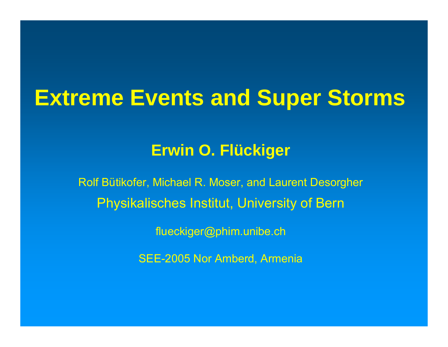#### **Extreme Events and Super Storms**

#### **Erwin O. Flückiger**

Rolf Bütikofer, Michael R. Moser, and Laurent Desorgher Physikalisches Institut, University of Bern

flueckiger@phim.unibe.ch

SEE-2005 Nor Amberd, Armenia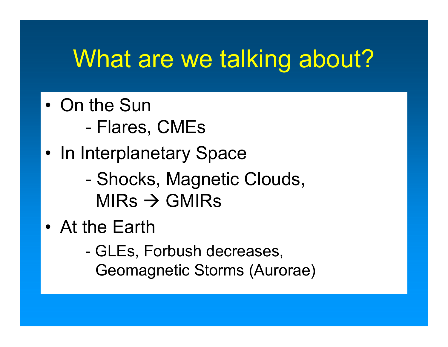## What are we talking about?

- On the Sun
	- -Flares, CMEs
- •• In Interplanetary Space
	- -- Shocks, Magnetic Clouds, MIRs  $\rightarrow$  GMIRs
- At the Earth
	- - GLEs, Forbush decreases, Geomagnetic Storms (Aurorae)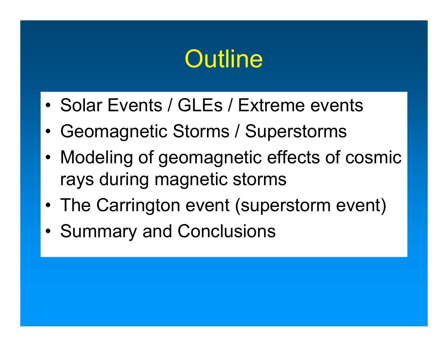### **Outline**

- Solar Events / GLEs / Extreme events
- •Geomagnetic Storms / Superstorms
- • Modeling of geomagnetic effects of cosmic rays during magnetic storms
- The Carrington event (superstorm event)
- •• Summary and Conclusions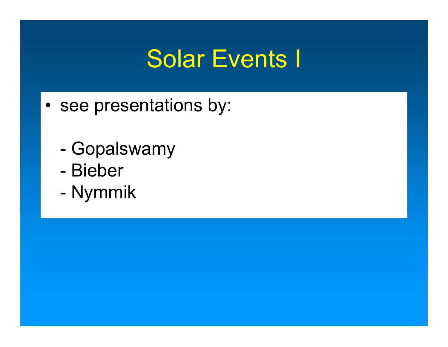### Solar Events I

- •• see presentations by:
	- -Gopalswamy
	- -Bieber
	- -- Nymmik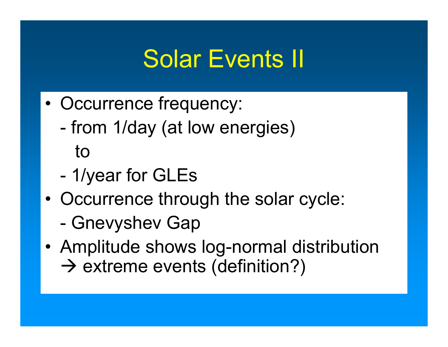### Solar Events II

- • Occurrence frequency:
	- from 1/day (at low energies) to
	- 1/year for GLEs
- • Occurrence through the solar cycle: -- Gnevyshev Gap
- • Amplitude shows log-normal distribution  $\rightarrow$  extreme events (definition?)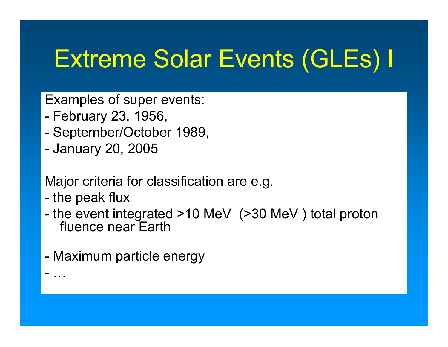# Extreme Solar Events (GLEs) I

Examples of super events:

- February 23, 1956,
- September/October 1989,
- January 20, 2005

Major criteria for classification are e.g.

- the peak flux

-

…

- the event integrated >10 MeV (>30 MeV ) total proton fluence near Earth
- Maximum particle energy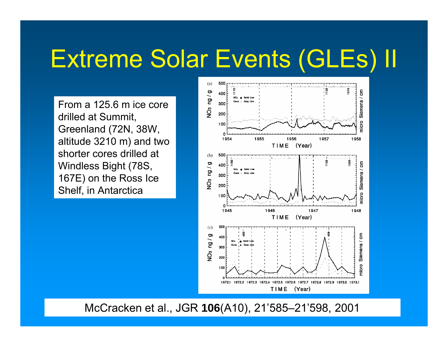## Extreme Solar Events (GLEs) II

From a 125.6 m ice core drilled at Summit, Greenland (72N, 38W, altitude 3210 m) and two shorter cores drilled at Windless Bight (78S, 167E) on the Ross Ice Shelf, in Antarctica



McCracken et al., JGR **106**(A10), 21'585–21'598, 2001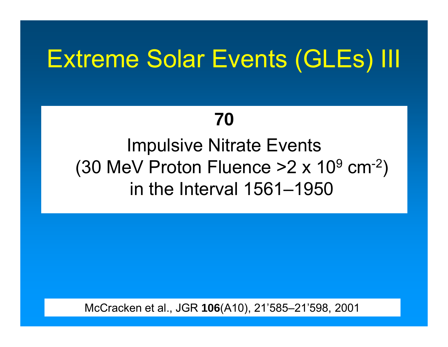### Extreme Solar Events (GLEs) III

#### **70**

#### Impulsive Nitrate Events (30 MeV Proton Fluence >2 x 10  $^9$  cm<sup>-2</sup>)  $^{\circ}$ in the Interval 1561–1950

McCracken et al., JGR **106**(A10), 21'585–21'598, 2001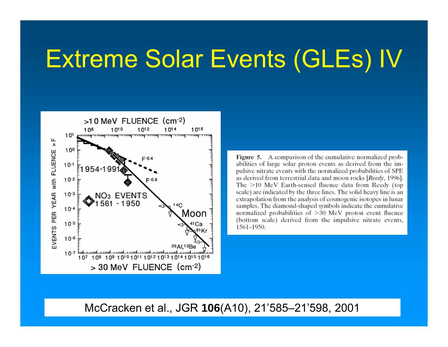### Extreme Solar Events (GLEs) IV



Figure 5. A comparison of the cumulative normalized probabilities of large solar proton events as derived from the impulsive nitrate events with the normalized probabilities of SPE as derived from terrestrial data and moon rocks [Reedy, 1996]. The  $>10$  MeV Earth-sensed fluence data from Reedy (top scale) are indicated by the three lines. The solid heavy line is an extrapolation from the analysis of cosmogenic isotopes in lunar samples. The diamond-shaped symbols indicate the cumulative normalized probabilities of  $>30$  MeV proton event fluence (bottom scale) derived from the impulsive nitrate events, 1561-1950.

McCracken et al., JGR **106**(A10), 21'585–21'598, 2001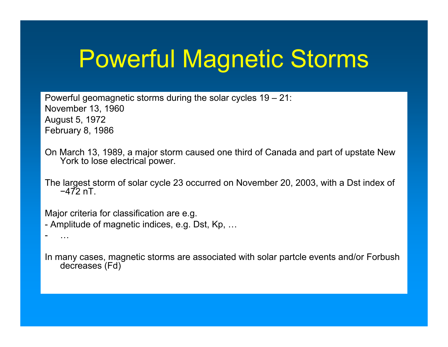# Powerful Magnetic Storms

Powerful geomagnetic storms during the solar cycles 19 – 21: November 13, 1960 August 5, 1972 February 8, 1986

On March 13, 1989, a major storm caused one third of Canada and part of upstate New York to lose electrical power.

The largest storm of solar cycle 23 occurred on November 20, 2003, with a Dst index of −472 nT.

Major criteria for classification are e.g. - Amplitude of magnetic indices, e.g. Dst, Kp, …

…

In many cases, magnetic storms are associated with solar partcle events and/or Forbush decreases (Fd)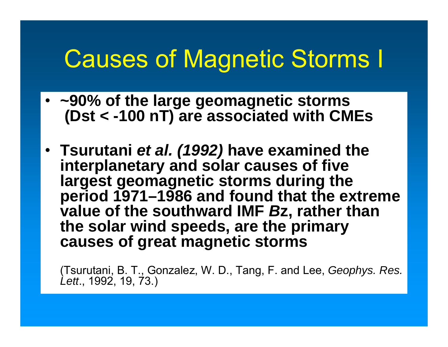### Causes of Magnetic Storms I

- **~90% of the large geomagnetic storms (Dst < -100 nT) are associated with CMEs**
- **Tsurutani** *et al. (1992)* **have examined the interplanetary and solar causes of five largest geomagnetic storms during the period 1971–1986 and found that the extreme value of the southward IMF**  *B***z, rather than the solar wind speeds, are the primary causes of great magnetic storms**

(Tsurutani, B. T., Gonzalez, W. D., Tang, F. and Lee, *Geophys. Res. Lett*., 1992, 19, 73.)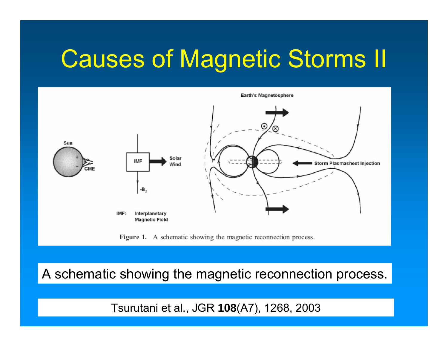### Causes of Magnetic Storms II



Figure 1. A schematic showing the magnetic reconnection process.

A schematic showing the magnetic reconnection process.

Tsurutani et al., JGR **108**(A7), 1268, 2003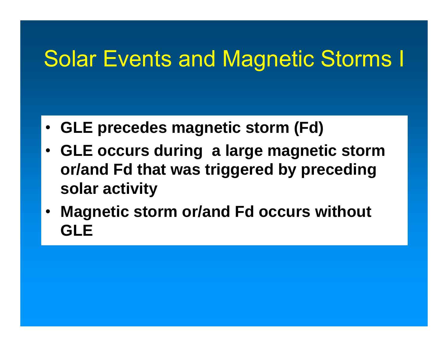### Solar Events and Magnetic Storms I

- **GLE precedes magnetic storm (Fd)**
- **GLE occurs during a large magnetic storm or/and Fd that was triggered by preceding solar activity**
- • **Magnetic storm or/and Fd occurs without GLE**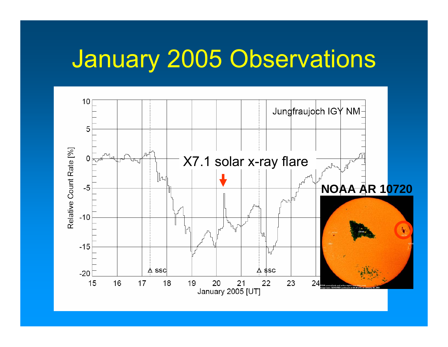### January 2005 Observations

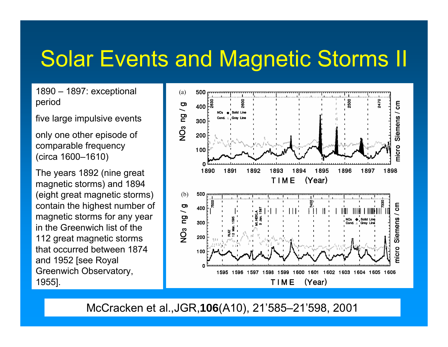### Solar Events and Magnetic Storms II

1890 – 1897: exceptional period

five large impulsive events

only one other episode of comparable frequency (circa 1600–1610)

The years 1892 (nine great magnetic storms) and 1894 (eight great magnetic storms) contain the highest number of magnetic storms for any year in the Greenwich list of the 112 great magnetic storms that occurred between 1874 and 1952 [see Royal Greenwich Observatory, 1955].



McCracken et al.,JGR,**106**(A10), 21'585–21'598, 2001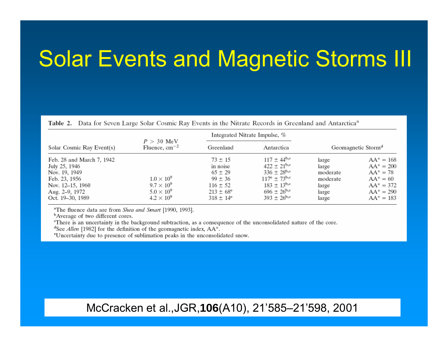### Solar Events and Magnetic Storms III

Table 2. Data for Seven Large Solar Cosmic Ray Events in the Nitrate Records in Greenland and Antarctica<sup>a</sup>

| Solar Cosmic Ray Event(s)                                                                                                              | $P > 30$ MeV<br>Fluence, $cm^{-2}$                                                 | Integrated Nitrate Impulse, %                                                                                         |                                                                                                                                                                |                                                                   |                                                                                                            |
|----------------------------------------------------------------------------------------------------------------------------------------|------------------------------------------------------------------------------------|-----------------------------------------------------------------------------------------------------------------------|----------------------------------------------------------------------------------------------------------------------------------------------------------------|-------------------------------------------------------------------|------------------------------------------------------------------------------------------------------------|
|                                                                                                                                        |                                                                                    | Greenland                                                                                                             | Antarctica                                                                                                                                                     | Geomagnetic Storm <sup>d</sup>                                    |                                                                                                            |
| Feb. 28 and March 7, 1942<br>July 25, 1946<br>Nov. 19, 1949<br>Feb. 23, 1956<br>Nov. 12–15, 1960<br>Aug. 2–9, 1972<br>Oct. 19–30, 1989 | $1.0 \times 10^9$<br>$9.7 \times 10^9$<br>$5.0 \times 10^9$<br>$4.2 \times 10^{9}$ | $73 \pm 15$<br>in noise<br>$65 \pm 29$<br>$99 \pm 36$<br>$116 \pm 52$<br>$213 \pm 68^{\circ}$<br>$318 \pm 14^{\circ}$ | $117 \pm 44^{b,c}$<br>$422 \pm 21^{b,c}$<br>$336 \pm 28^{b,c}$<br>$117^{\circ} \pm 73^{\circ}$<br>$183 \pm 13^{b,c}$<br>$696 \pm 26^{b,c}$<br>$393 + 26^{b,c}$ | large<br>large<br>moderate<br>moderate<br>large<br>large<br>large | $AA^* = 168$<br>$AA^* = 200$<br>$AA^* = 78$<br>$AA^* = 60$<br>$AA^* = 372$<br>$AA^* = 290$<br>$AA^* = 183$ |

<sup>a</sup>The fluence data are from Shea and Smart [1990, 1993].

<sup>b</sup>Average of two different cores.

There is an uncertainty in the background subtraction, as a consequence of the unconsolidated nature of the core.

<sup>d</sup>See *Allen* [1982] for the definition of the geomagnetic index,  $AA^*$ .

<sup>e</sup>Uncertainty due to presence of sublimation peaks in the unconsolidated snow.

McCracken et al.,JGR,**106**(A10), 21'585–21'598, 2001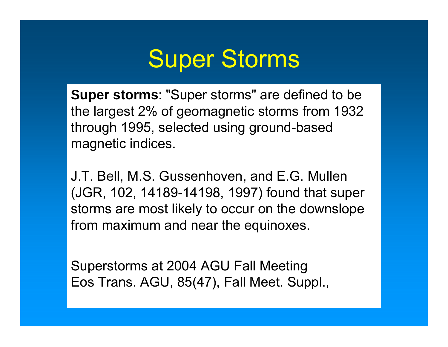

**Super storms**: "Super storms" are defined to be the largest 2% of geomagnetic storms from 1932 through 1995, selected using ground-based magnetic indices.

J.T. Bell, M.S. Gussenhoven, and E.G. Mullen (JGR, 102, 14189-14198, 1997) found that super storms are most likely to occur on the downslope from maximum and near the equinoxes.

Superstorms at 2004 AGU Fall Meeting Eos Trans. AGU, 85(47), Fall Meet. Suppl.,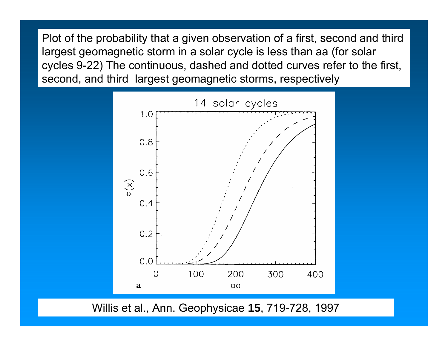Plot of the probability that a given observation of a first, second and third largest geomagnetic storm in a solar cycle is less than aa (for solar cycles 9-22) The continuous, dashed and dotted curves refer to the first, second, and third largest geomagnetic storms, respectively



Willis et al., Ann. Geophysicae **15**, 719-728, 1997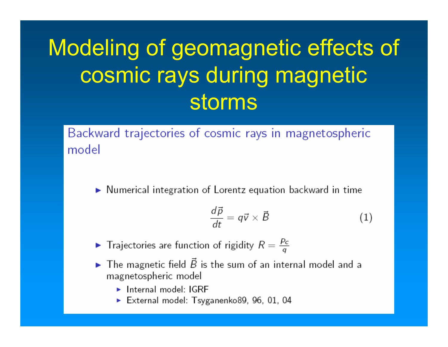### Modeling of geomagnetic effects of cosmic rays during magnetic storms

Backward trajectories of cosmic rays in magnetospheric model

 $\triangleright$  Numerical integration of Lorentz equation backward in time

$$
\frac{d\vec{p}}{dt} = q\vec{v} \times \vec{B} \tag{1}
$$

- $\blacktriangleright$  Trajectories are function of rigidity  $R = \frac{P_c}{q}$
- $\blacktriangleright$  The magnetic field  $\vec{B}$  is the sum of an internal model and a magnetospheric model
	- $\blacktriangleright$  Internal model: IGRF
	- External model: Tsyganenko89, 96, 01, 04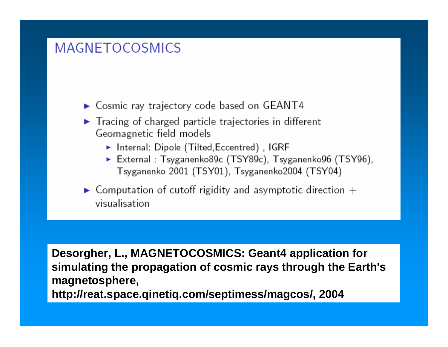#### **MAGNETOCOSMICS**

 $\triangleright$  Cosmic ray trajectory code based on GEANT4

- $\blacktriangleright$  Tracing of charged particle trajectories in different Geomagnetic field models
	- $\blacktriangleright$  Internal: Dipole (Tilted, Eccentred), IGRF
	- External: Tsyganenko89c (TSY89c), Tsyganenko96 (TSY96), Tsyganenko 2001 (TSY01), Tsyganenko2004 (TSY04)
- $\blacktriangleright$  Computation of cutoff rigidity and asymptotic direction  $+$ visualisation

**Desorgher, L., MAGNETOCOSMICS: Geant4 application for simulating the propagation of cosmic rays through the Earth's magnetosp here, http://reat.space.qinetiq.com/septimess/magcos/, 2004**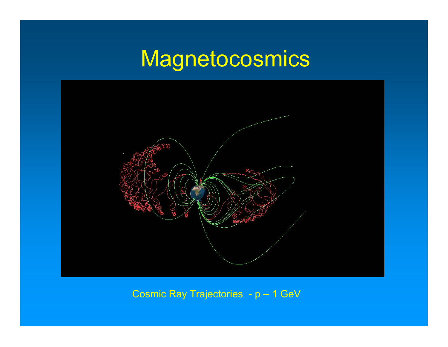### **Magnetocosmics**



Cosmic Ray Trajectories - p – 1 GeV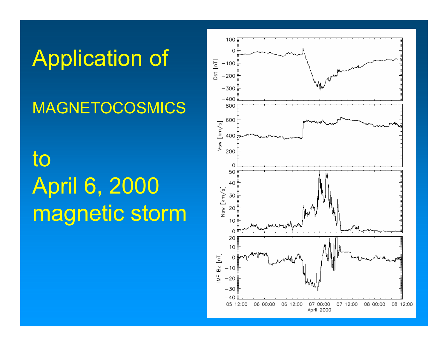## Application of

#### MAGNETOCOSMICS

### to April 6, 2000 magnetic storm

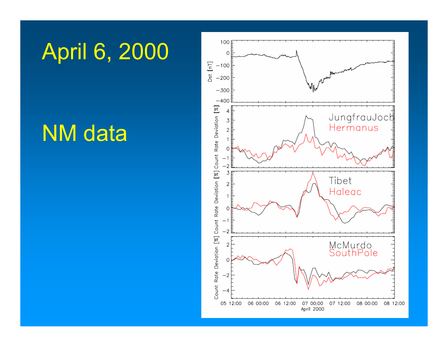### April 6, 2000

### NM data

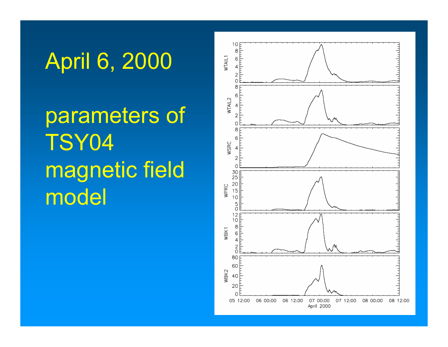## April 6, 2000

parameters of TSY04 magnetic field model

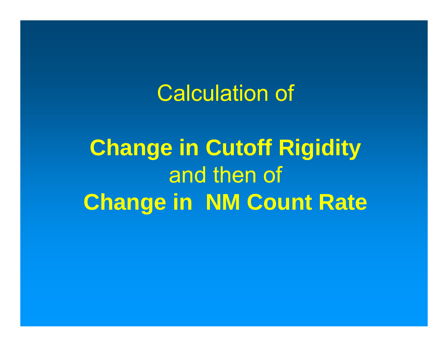#### Calculation of

**Change in Cutoff Rigidity** and then of **Change in NM Count Rate**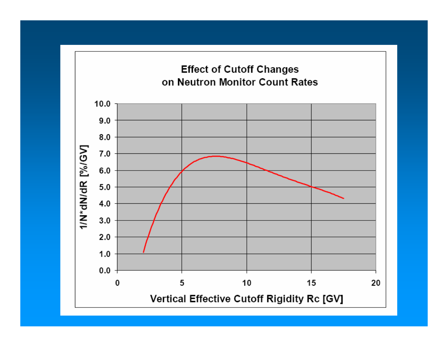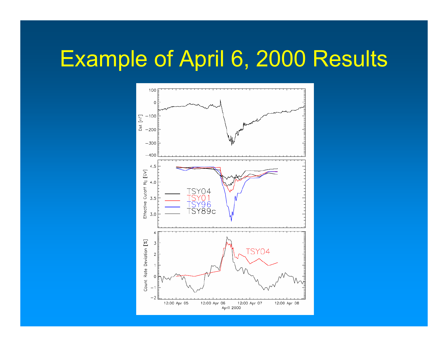### Example of April 6, 2000 Results

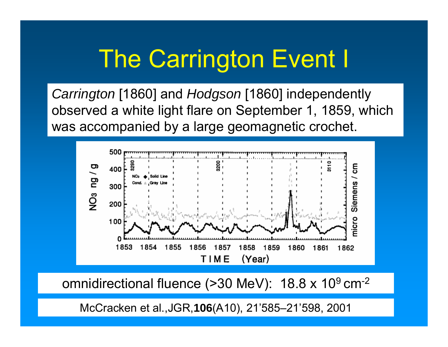## The Carrington Event I

*Carrington* [1860] and *Hodgson* [1860] independently observed a white light flare on September 1, 1859, which was accompanied by a large geomagnetic crochet.



omnidirectional fluence (>30 MeV):  $\,$  18.8 x 10 $^{9}$  cm<sup>-2</sup>

McCracken et al.,JGR,**106**(A10), 21'585–21'598, 2001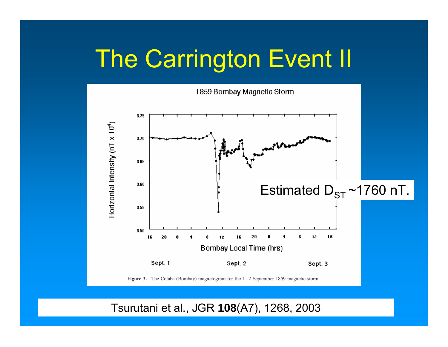## The Carrington Event II



Tsurutani et al., JGR **108**(A7), 1268, 2003